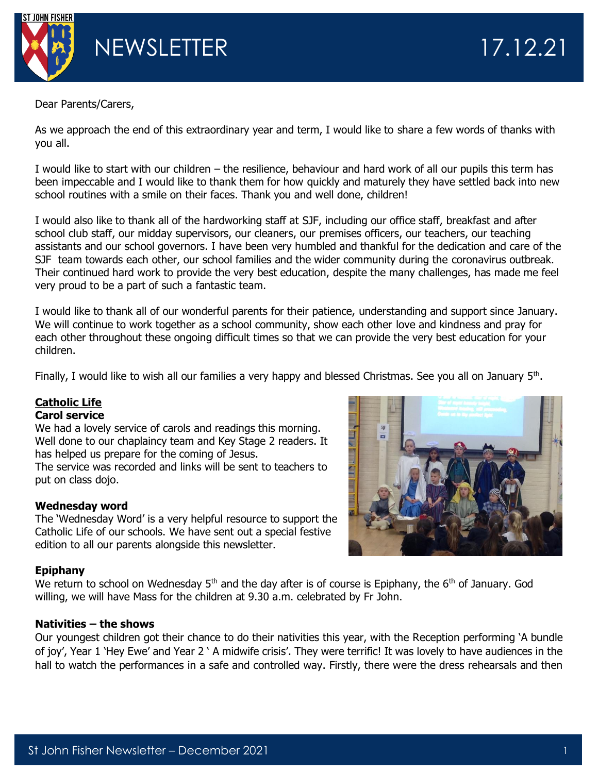

Dear Parents/Carers,

As we approach the end of this extraordinary year and term, I would like to share a few words of thanks with you all.

I would like to start with our children – the resilience, behaviour and hard work of all our pupils this term has been impeccable and I would like to thank them for how quickly and maturely they have settled back into new school routines with a smile on their faces. Thank you and well done, children!

I would also like to thank all of the hardworking staff at SJF, including our office staff, breakfast and after school club staff, our midday supervisors, our cleaners, our premises officers, our teachers, our teaching assistants and our school governors. I have been very humbled and thankful for the dedication and care of the SJF team towards each other, our school families and the wider community during the coronavirus outbreak. Their continued hard work to provide the very best education, despite the many challenges, has made me feel very proud to be a part of such a fantastic team.

I would like to thank all of our wonderful parents for their patience, understanding and support since January. We will continue to work together as a school community, show each other love and kindness and pray for each other throughout these ongoing difficult times so that we can provide the very best education for your children.

Finally, I would like to wish all our families a very happy and blessed Christmas. See you all on January 5<sup>th</sup>.

# **Catholic Life**

### **Carol service**

We had a lovely service of carols and readings this morning. Well done to our chaplaincy team and Key Stage 2 readers. It has helped us prepare for the coming of Jesus.

The service was recorded and links will be sent to teachers to put on class dojo.

### **Wednesday word**

The 'Wednesday Word' is a very helpful resource to support the Catholic Life of our schools. We have sent out a special festive edition to all our parents alongside this newsletter.

### **Epiphany**

We return to school on Wednesday  $5<sup>th</sup>$  and the day after is of course is Epiphany, the  $6<sup>th</sup>$  of January. God willing, we will have Mass for the children at 9.30 a.m. celebrated by Fr John.

## **Nativities – the shows**

Our youngest children got their chance to do their nativities this year, with the Reception performing 'A bundle of joy', Year 1 'Hey Ewe' and Year 2 ' A midwife crisis'. They were terrific! It was lovely to have audiences in the hall to watch the performances in a safe and controlled way. Firstly, there were the dress rehearsals and then

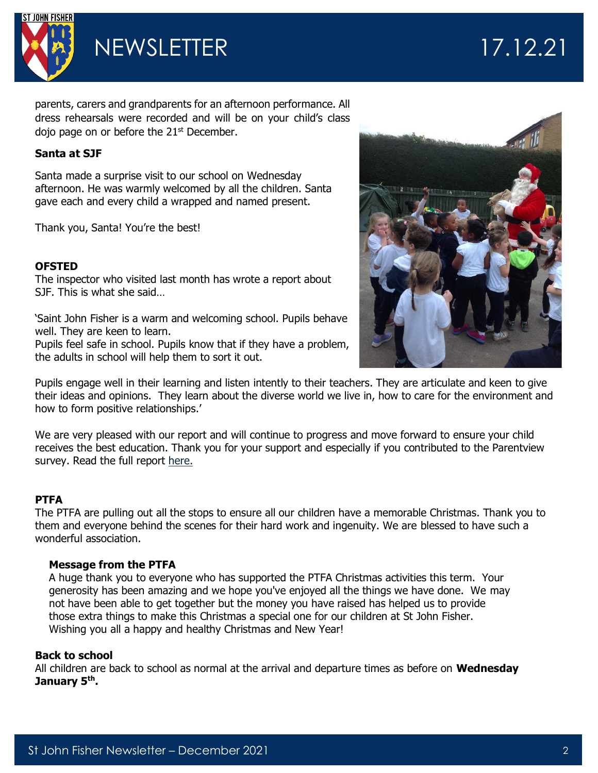

NEWSLETTER 17.12.21

parents, carers and grandparents for an afternoon performance. All dress rehearsals were recorded and will be on your child's class dojo page on or before the 21<sup>st</sup> December.

## **Santa at SJF**

Santa made a surprise visit to our school on Wednesday afternoon. He was warmly welcomed by all the children. Santa gave each and every child a wrapped and named present.

Thank you, Santa! You're the best!

#### **OFSTED**

The inspector who visited last month has wrote a report about SJF. This is what she said…

'Saint John Fisher is a warm and welcoming school. Pupils behave well. They are keen to learn.

Pupils feel safe in school. Pupils know that if they have a problem, the adults in school will help them to sort it out.



Pupils engage well in their learning and listen intently to their teachers. They are articulate and keen to give their ideas and opinions. They learn about the diverse world we live in, how to care for the environment and how to form positive relationships.'

We are very pleased with our report and will continue to progress and move forward to ensure your child receives the best education. Thank you for your support and especially if you contributed to the Parentview survey. Read the full report [here.](https://files.ofsted.gov.uk/v1/file/50174230)

### **PTFA**

The PTFA are pulling out all the stops to ensure all our children have a memorable Christmas. Thank you to them and everyone behind the scenes for their hard work and ingenuity. We are blessed to have such a wonderful association.

#### **Message from the PTFA**

A huge thank you to everyone who has supported the PTFA Christmas activities this term. Your generosity has been amazing and we hope you've enjoyed all the things we have done. We may not have been able to get together but the money you have raised has helped us to provide those extra things to make this Christmas a special one for our children at St John Fisher. Wishing you all a happy and healthy Christmas and New Year!

#### **Back to school**

All children are back to school as normal at the arrival and departure times as before on **Wednesday January 5th .**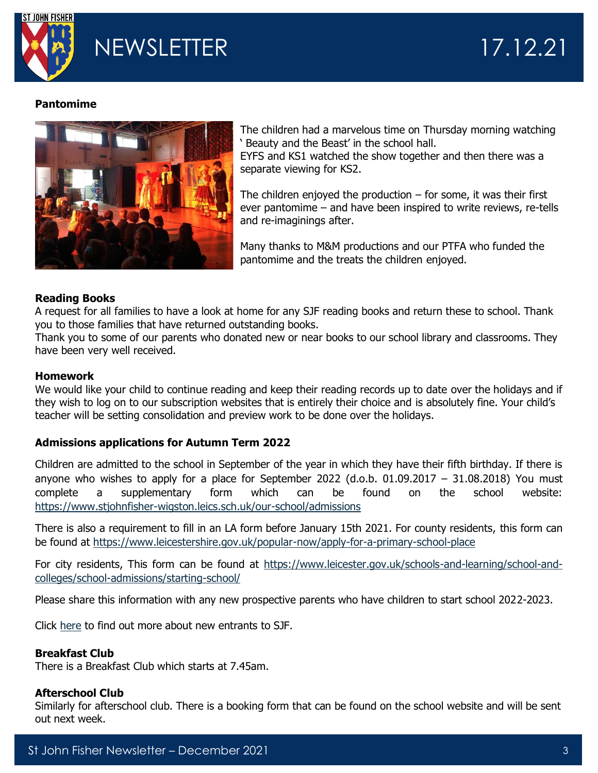

## **Pantomime**



The children had a marvelous time on Thursday morning watching ' Beauty and the Beast' in the school hall.

EYFS and KS1 watched the show together and then there was a separate viewing for KS2.

The children enjoyed the production  $-$  for some, it was their first ever pantomime – and have been inspired to write reviews, re-tells and re-imaginings after.

Many thanks to M&M productions and our PTFA who funded the pantomime and the treats the children enjoyed.

### **Reading Books**

A request for all families to have a look at home for any SJF reading books and return these to school. Thank you to those families that have returned outstanding books.

Thank you to some of our parents who donated new or near books to our school library and classrooms. They have been very well received.

#### **Homework**

We would like your child to continue reading and keep their reading records up to date over the holidays and if they wish to log on to our subscription websites that is entirely their choice and is absolutely fine. Your child's teacher will be setting consolidation and preview work to be done over the holidays.

### **Admissions applications for Autumn Term 2022**

Children are admitted to the school in September of the year in which they have their fifth birthday. If there is anyone who wishes to apply for a place for September 2022 (d.o.b. 01.09.2017  $-$  31.08.2018) You must complete a supplementary form which can be found on the school website: <https://www.stjohnfisher-wigston.leics.sch.uk/our-school/admissions>

There is also a requirement to fill in an LA form before January 15th 2021. For county residents, this form can be found at<https://www.leicestershire.gov.uk/popular-now/apply-for-a-primary-school-place>

For city residents, This form can be found at [https://www.leicester.gov.uk/schools-and-learning/school-and](https://www.leicester.gov.uk/schools-and-learning/school-and-colleges/school-admissions/starting-school/)[colleges/school-admissions/starting-school/](https://www.leicester.gov.uk/schools-and-learning/school-and-colleges/school-admissions/starting-school/)

Please share this information with any new prospective parents who have children to start school 2022-2023.

Click [here](https://www.stjohnfisher-wigston.leics.sch.uk/parents/new-entrants-parents-information) to find out more about new entrants to SJF.

### **Breakfast Club**

There is a Breakfast Club which starts at 7.45am.

### **Afterschool Club**

Similarly for afterschool club. There is a booking form that can be found on the school website and will be sent out next week.